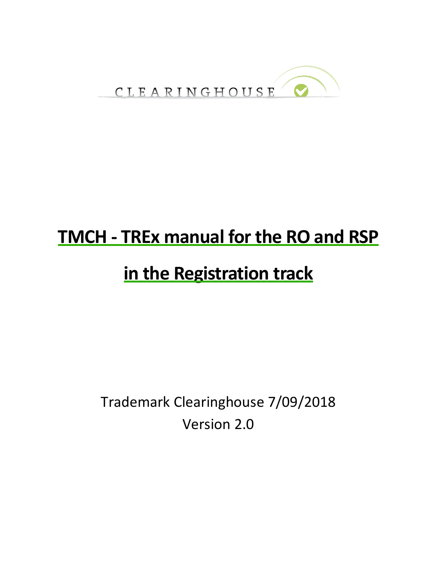

# **TMCH - TREx manual for the RO and RSP**

## **in the Registration track**

Trademark Clearinghouse 7/09/2018 Version 2.0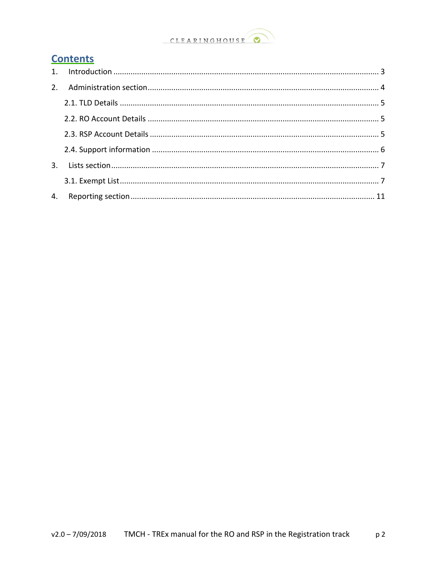#### CLEARINGHOUSE  $\bullet$

### **Contents**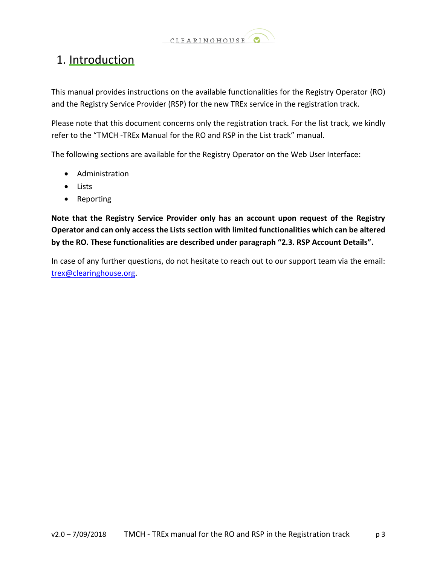

## <span id="page-2-0"></span>1. Introduction

This manual provides instructions on the available functionalities for the Registry Operator (RO) and the Registry Service Provider (RSP) for the new TREx service in the registration track.

Please note that this document concerns only the registration track. For the list track, we kindly refer to the "TMCH -TREx Manual for the RO and RSP in the List track" manual.

The following sections are available for the Registry Operator on the Web User Interface:

- Administration
- Lists
- Reporting

**Note that the Registry Service Provider only has an account upon request of the Registry Operator and can only access the Lists section with limited functionalities which can be altered by the RO. These functionalities are described under paragraph "2.3. RSP Account Details".**

In case of any further questions, do not hesitate to reach out to our support team via the email: [trex@clearinghouse.org.](mailto:trex@clearinghouse.org)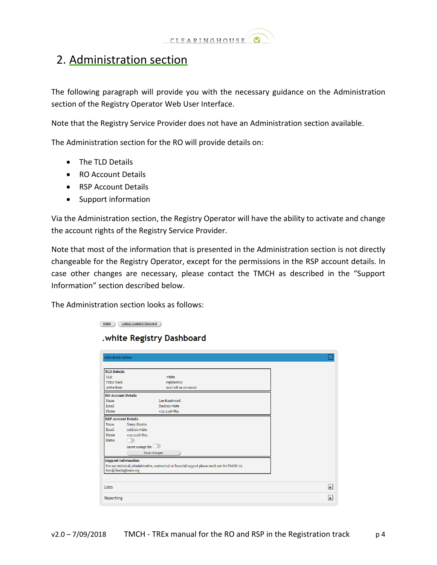

## <span id="page-3-0"></span>2. Administration section

The following paragraph will provide you with the necessary guidance on the Administration section of the Registry Operator Web User Interface.

Note that the Registry Service Provider does not have an Administration section available.

The Administration section for the RO will provide details on:

- The TLD Details
- RO Account Details
- RSP Account Details
- Support information

Via the Administration section, the Registry Operator will have the ability to activate and change the account rights of the Registry Service Provider.

Note that most of the information that is presented in the Administration section is not directly changeable for the Registry Operator, except for the permissions in the RSP account details. In case other changes are necessary, please contact the TMCH as described in the "Support Information" section described below.

The Administration section looks as follows:

Home Logout/Support/Password

.white Registry Dashboard

| Administration             |                                                                                                   |     |
|----------------------------|---------------------------------------------------------------------------------------------------|-----|
|                            |                                                                                                   |     |
| <b>TLD Details</b>         |                                                                                                   |     |
| <b>TLD</b>                 | .white                                                                                            |     |
| <b>TREx Track</b>          | registration                                                                                      |     |
| Active from                | 2017-08-01 00:00:00                                                                               |     |
| <b>RO Account Details</b>  |                                                                                                   |     |
| Name                       | Lee Hazelwood                                                                                     |     |
| Email                      | lha@nic.white                                                                                     |     |
| Phone                      | +32.34567891                                                                                      |     |
| <b>RSP Account Details</b> |                                                                                                   |     |
| Name                       | Nancy Sinatra                                                                                     |     |
| Email                      | nsi@nic.white                                                                                     |     |
| Phone                      | +32.34567895                                                                                      |     |
| <b>Status</b>              |                                                                                                   |     |
|                            | Insert exempt list                                                                                |     |
|                            | Save changes                                                                                      |     |
| <b>Support Information</b> |                                                                                                   |     |
|                            | For any technical, administrative, contractual or financial support please reach out the TMCH via |     |
| trex@clearinghouse.org     |                                                                                                   |     |
|                            |                                                                                                   |     |
| Lists                      |                                                                                                   | $+$ |
|                            |                                                                                                   |     |
| Reporting                  |                                                                                                   | $+$ |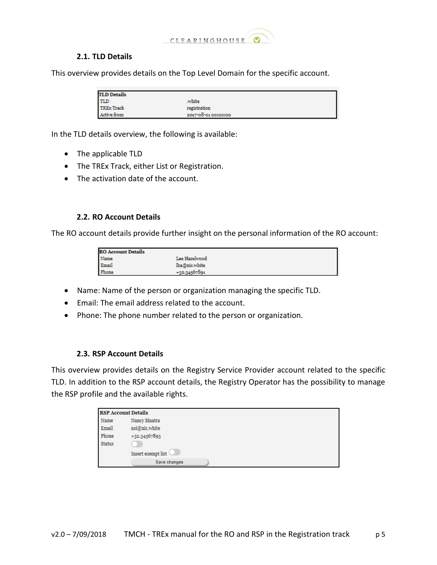

### **2.1. TLD Details**

<span id="page-4-0"></span>This overview provides details on the Top Level Domain for the specific account.

| <b>TLD Details</b> |                     |
|--------------------|---------------------|
| <b>TLD</b>         | .white              |
| <b>TREx Track</b>  | registration        |
| Active from        | 2017-08-01 00:00:00 |

In the TLD details overview, the following is available:

- The applicable TLD
- The TREx Track, either List or Registration.
- The activation date of the account.

#### **2.2. RO Account Details**

<span id="page-4-1"></span>The RO account details provide further insight on the personal information of the RO account:

| <b>RO</b> Account Details |                |  |
|---------------------------|----------------|--|
| Name                      | Lee Hazelwood  |  |
| Email                     | lha@nic.white  |  |
| Phone                     | $+32.34567891$ |  |

- Name: Name of the person or organization managing the specific TLD.
- Email: The email address related to the account.
- Phone: The phone number related to the person or organization.

#### **2.3. RSP Account Details**

<span id="page-4-2"></span>This overview provides details on the Registry Service Provider account related to the specific TLD. In addition to the RSP account details, the Registry Operator has the possibility to manage the RSP profile and the available rights.

| <b>RSP Account Details</b> |                    |  |
|----------------------------|--------------------|--|
| Name                       | Nancy Sinatra      |  |
| Email                      | nsi@nic.white      |  |
| Phone                      | +32.34567895       |  |
| <b>Status</b>              |                    |  |
|                            | Insert exempt list |  |
|                            | Save changes       |  |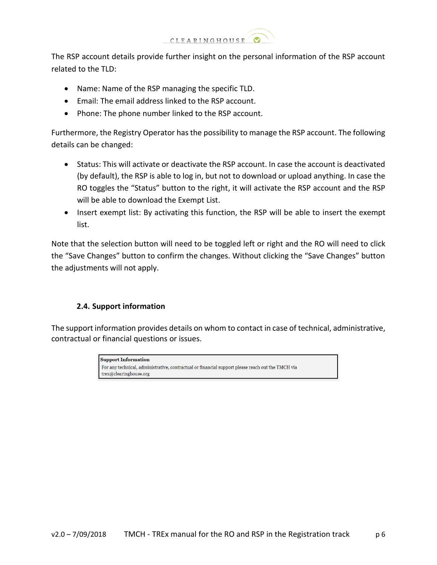

The RSP account details provide further insight on the personal information of the RSP account related to the TLD:

- Name: Name of the RSP managing the specific TLD.
- Email: The email address linked to the RSP account.
- Phone: The phone number linked to the RSP account.

Furthermore, the Registry Operator has the possibility to manage the RSP account. The following details can be changed:

- Status: This will activate or deactivate the RSP account. In case the account is deactivated (by default), the RSP is able to log in, but not to download or upload anything. In case the RO toggles the "Status" button to the right, it will activate the RSP account and the RSP will be able to download the Exempt List.
- Insert exempt list: By activating this function, the RSP will be able to insert the exempt list.

Note that the selection button will need to be toggled left or right and the RO will need to click the "Save Changes" button to confirm the changes. Without clicking the "Save Changes" button the adjustments will not apply.

### **2.4. Support information**

<span id="page-5-0"></span>The support information provides details on whom to contact in case of technical, administrative, contractual or financial questions or issues.

> **Support Information** For any technical, administrative, contractual or financial support please reach out the TMCH via  $\operatorname{trex} @clearinghouse.org$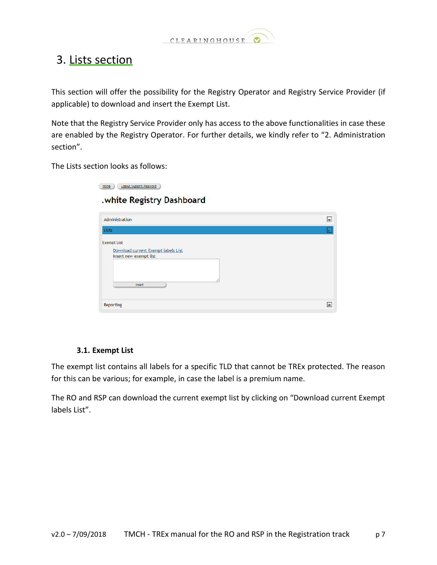

## <span id="page-6-0"></span>3. Lists section

This section will offer the possibility for the Registry Operator and Registry Service Provider (if applicable) to download and insert the Exempt List.

Note that the Registry Service Provider only has access to the above functionalities in case these are enabled by the Registry Operator. For further details, we kindly refer to "2. Administration section".

The Lists section looks as follows:

| Logout/Support/Password<br>Home                                                               |     |
|-----------------------------------------------------------------------------------------------|-----|
| .white Registry Dashboard                                                                     |     |
| Administration                                                                                | $+$ |
| Lists                                                                                         |     |
| <b>Exempt List</b><br>Download current Exempt labels List<br>Insert new exempt list<br>Insert |     |
|                                                                                               | Ŧ   |

### **3.1. Exempt List**

<span id="page-6-1"></span>The exempt list contains all labels for a specific TLD that cannot be TREx protected. The reason for this can be various; for example, in case the label is a premium name.

The RO and RSP can download the current exempt list by clicking on "Download current Exempt labels List".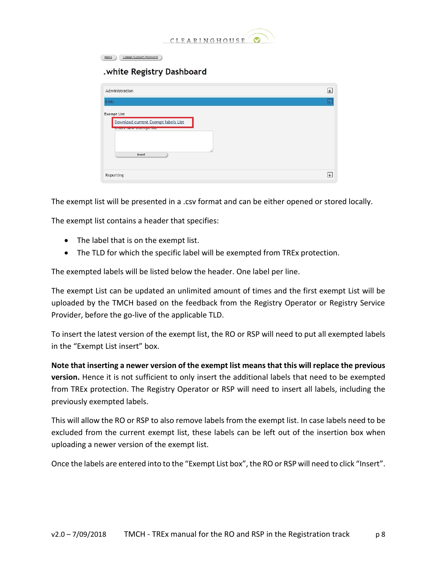

Home Logout/Support/Password

#### .white Registry Dashboard

| Administration                                                                                     | $+$                |
|----------------------------------------------------------------------------------------------------|--------------------|
| Lists                                                                                              | ь                  |
| <b>Exempt List</b><br>Download current Exempt labels List<br><b>THEFT HEW EXCHIPTING</b><br>Insert |                    |
| Reporting                                                                                          | $\left  + \right $ |

The exempt list will be presented in a .csv format and can be either opened or stored locally.

The exempt list contains a header that specifies:

- The label that is on the exempt list.
- The TLD for which the specific label will be exempted from TREx protection.

The exempted labels will be listed below the header. One label per line.

The exempt List can be updated an unlimited amount of times and the first exempt List will be uploaded by the TMCH based on the feedback from the Registry Operator or Registry Service Provider, before the go-live of the applicable TLD.

To insert the latest version of the exempt list, the RO or RSP will need to put all exempted labels in the "Exempt List insert" box.

**Note that inserting a newer version of the exempt list means that this will replace the previous version.** Hence it is not sufficient to only insert the additional labels that need to be exempted from TREx protection. The Registry Operator or RSP will need to insert all labels, including the previously exempted labels.

This will allow the RO or RSP to also remove labels from the exempt list. In case labels need to be excluded from the current exempt list, these labels can be left out of the insertion box when uploading a newer version of the exempt list.

Once the labels are entered into to the "Exempt List box", the RO or RSP will need to click "Insert".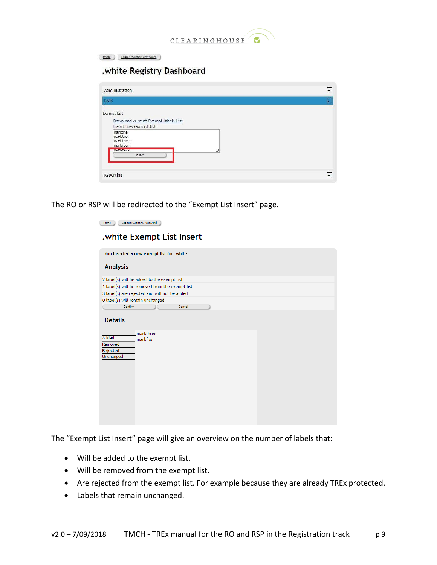

Home Logout/Support/Password

.white Registry Dashboard

| Administration                                                        | $+$                |
|-----------------------------------------------------------------------|--------------------|
| Lists                                                                 | a.                 |
| <b>Exempt List</b>                                                    |                    |
| Download current Exempt labels List                                   |                    |
| Insert new exempt list<br>markone<br>marktwo<br>markthree<br>markfour |                    |
| <b>MEDICAL BANK</b><br>Insert                                         |                    |
|                                                                       |                    |
| Reporting                                                             | $\left  + \right $ |
|                                                                       |                    |

The RO or RSP will be redirected to the "Exempt List Insert" page.

| Logout/Support/Password<br>Home                                                      |  |
|--------------------------------------------------------------------------------------|--|
| .white Exempt List Insert                                                            |  |
| You inserted a new exempt list for .white                                            |  |
| <b>Analysis</b>                                                                      |  |
| 2 label(s) will be added to the exempt list                                          |  |
| 1 label(s) will be removed from the exempt list                                      |  |
| 3 label(s) are rejected and will not be added                                        |  |
| 0 label(s) will remain unchanged                                                     |  |
| Confirm<br>Cancel                                                                    |  |
| <b>Details</b><br>markthree<br>Added<br>markfour<br>Removed<br>Rejected<br>Unchanged |  |

The "Exempt List Insert" page will give an overview on the number of labels that:

- Will be added to the exempt list.
- Will be removed from the exempt list.
- Are rejected from the exempt list. For example because they are already TREx protected.
- Labels that remain unchanged.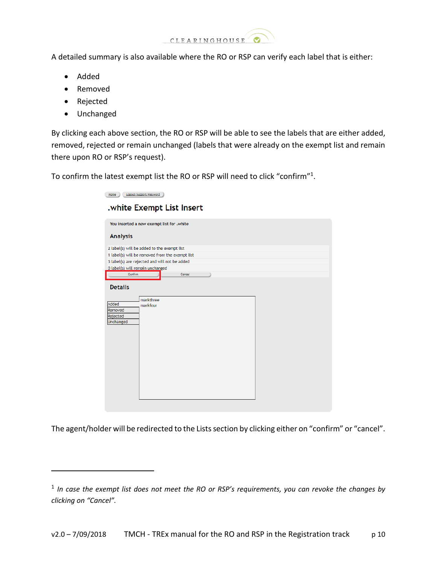

A detailed summary is also available where the RO or RSP can verify each label that is either:

- Added
- Removed
- Rejected

 $\overline{a}$ 

Unchanged

By clicking each above section, the RO or RSP will be able to see the labels that are either added, removed, rejected or remain unchanged (labels that were already on the exempt list and remain there upon RO or RSP's request).

To confirm the latest exempt list the RO or RSP will need to click "confirm"<sup>1</sup>.

The agent/holder will be redirected to the Lists section by clicking either on "confirm" or "cancel".

<sup>&</sup>lt;sup>1</sup> In case the exempt list does not meet the RO or RSP's requirements, you can revoke the changes by *clicking on "Cancel".*